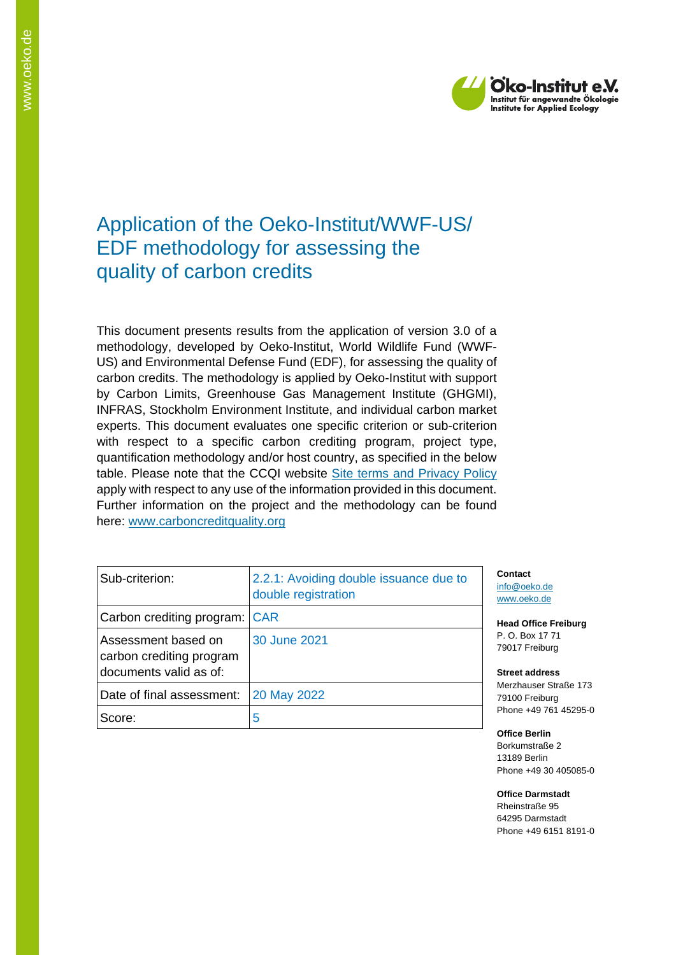

# Application of the Oeko-Institut/WWF-US/ EDF methodology for assessing the quality of carbon credits

This document presents results from the application of version 3.0 of a methodology, developed by Oeko-Institut, World Wildlife Fund (WWF-US) and Environmental Defense Fund (EDF), for assessing the quality of carbon credits. The methodology is applied by Oeko-Institut with support by Carbon Limits, Greenhouse Gas Management Institute (GHGMI), INFRAS, Stockholm Environment Institute, and individual carbon market experts. This document evaluates one specific criterion or sub-criterion with respect to a specific carbon crediting program, project type, quantification methodology and/or host country, as specified in the below table. Please note that the CCQI website [Site terms and Privacy Policy](https://carboncreditquality.org/terms.html) apply with respect to any use of the information provided in this document. Further information on the project and the methodology can be found here: [www.carboncreditquality.org](http://www.carboncreditquality.org/)

| Sub-criterion:                                                            | 2.2.1: Avoiding double issuance due to<br>double registration |
|---------------------------------------------------------------------------|---------------------------------------------------------------|
| Carbon crediting program: CAR                                             |                                                               |
| Assessment based on<br>carbon crediting program<br>documents valid as of: | 30 June 2021                                                  |
| Date of final assessment:                                                 | 20 May 2022                                                   |
| Score:                                                                    | 5                                                             |

**Contact** [info@oeko.de](mailto:info@oeko.de) [www.oeko.de](http://www.oeko.de/)

**Head Office Freiburg** P. O. Box 17 71 79017 Freiburg

**Street address** Merzhauser Straße 173 79100 Freiburg Phone +49 761 45295-0

**Office Berlin** Borkumstraße 2 13189 Berlin Phone +49 30 405085-0

**Office Darmstadt** Rheinstraße 95 64295 Darmstadt Phone +49 6151 8191-0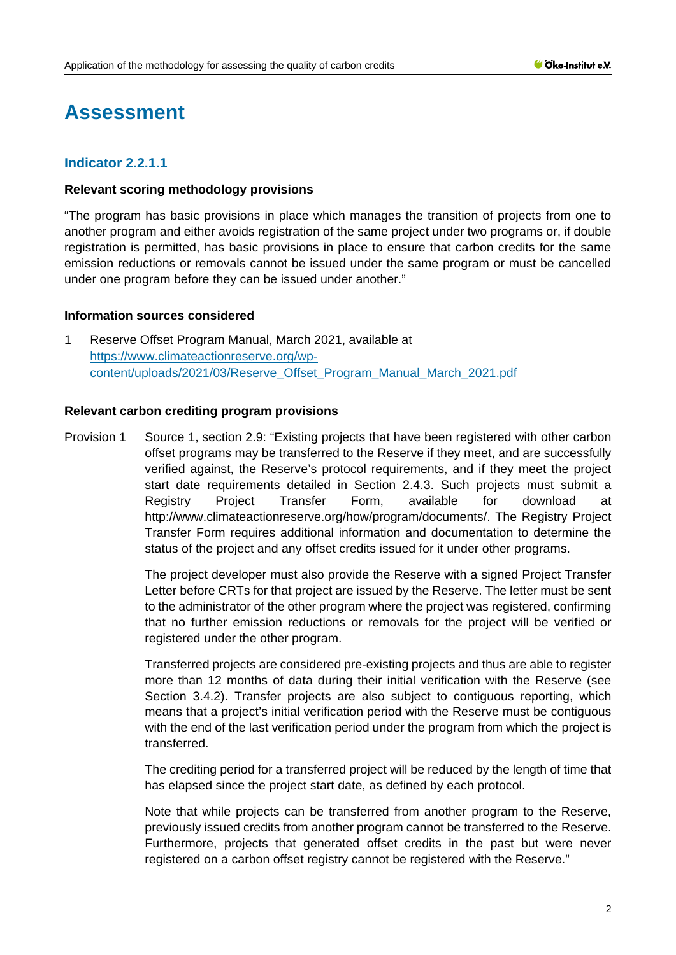# **Assessment**

# **Indicator 2.2.1.1**

# **Relevant scoring methodology provisions**

"The program has basic provisions in place which manages the transition of projects from one to another program and either avoids registration of the same project under two programs or, if double registration is permitted, has basic provisions in place to ensure that carbon credits for the same emission reductions or removals cannot be issued under the same program or must be cancelled under one program before they can be issued under another."

#### **Information sources considered**

1 Reserve Offset Program Manual, March 2021, available at [https://www.climateactionreserve.org/wp](https://www.climateactionreserve.org/wp-content/uploads/2021/03/Reserve_Offset_Program_Manual_March_2021.pdf)[content/uploads/2021/03/Reserve\\_Offset\\_Program\\_Manual\\_March\\_2021.pdf](https://www.climateactionreserve.org/wp-content/uploads/2021/03/Reserve_Offset_Program_Manual_March_2021.pdf)

# **Relevant carbon crediting program provisions**

Provision 1 Source 1, section 2.9: "Existing projects that have been registered with other carbon offset programs may be transferred to the Reserve if they meet, and are successfully verified against, the Reserve's protocol requirements, and if they meet the project start date requirements detailed in Section 2.4.3. Such projects must submit a Registry Project Transfer Form, available for download at http://www.climateactionreserve.org/how/program/documents/. The Registry Project Transfer Form requires additional information and documentation to determine the status of the project and any offset credits issued for it under other programs.

> The project developer must also provide the Reserve with a signed Project Transfer Letter before CRTs for that project are issued by the Reserve. The letter must be sent to the administrator of the other program where the project was registered, confirming that no further emission reductions or removals for the project will be verified or registered under the other program.

> Transferred projects are considered pre-existing projects and thus are able to register more than 12 months of data during their initial verification with the Reserve (see Section 3.4.2). Transfer projects are also subject to contiguous reporting, which means that a project's initial verification period with the Reserve must be contiguous with the end of the last verification period under the program from which the project is transferred.

> The crediting period for a transferred project will be reduced by the length of time that has elapsed since the project start date, as defined by each protocol.

> Note that while projects can be transferred from another program to the Reserve, previously issued credits from another program cannot be transferred to the Reserve. Furthermore, projects that generated offset credits in the past but were never registered on a carbon offset registry cannot be registered with the Reserve."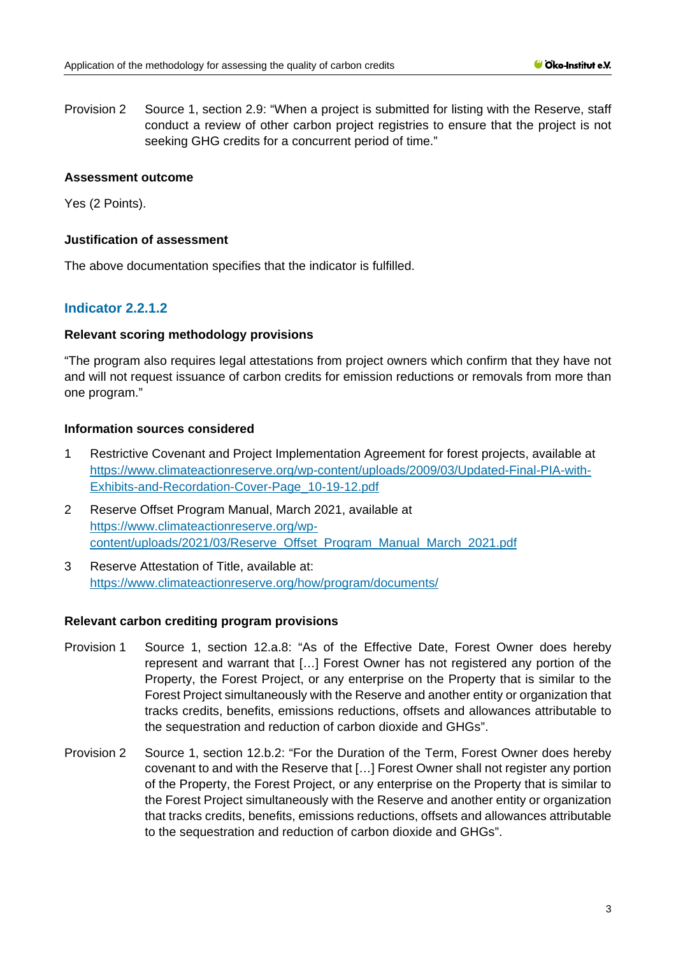Provision 2 Source 1, section 2.9: "When a project is submitted for listing with the Reserve, staff conduct a review of other carbon project registries to ensure that the project is not seeking GHG credits for a concurrent period of time."

# **Assessment outcome**

Yes (2 Points).

#### **Justification of assessment**

The above documentation specifies that the indicator is fulfilled.

# **Indicator 2.2.1.2**

# **Relevant scoring methodology provisions**

"The program also requires legal attestations from project owners which confirm that they have not and will not request issuance of carbon credits for emission reductions or removals from more than one program."

# **Information sources considered**

- 1 Restrictive Covenant and Project Implementation Agreement for forest projects, available at [https://www.climateactionreserve.org/wp-content/uploads/2009/03/Updated-Final-PIA-with-](https://www.climateactionreserve.org/wp-content/uploads/2009/03/Updated-Final-PIA-with-Exhibits-and-Recordation-Cover-Page_10-19-12.pdf)[Exhibits-and-Recordation-Cover-Page\\_10-19-12.pdf](https://www.climateactionreserve.org/wp-content/uploads/2009/03/Updated-Final-PIA-with-Exhibits-and-Recordation-Cover-Page_10-19-12.pdf)
- 2 Reserve Offset Program Manual, March 2021, available at [https://www.climateactionreserve.org/wp](https://www.climateactionreserve.org/wp-content/uploads/2021/03/Reserve_Offset_Program_Manual_March_2021.pdf)[content/uploads/2021/03/Reserve\\_Offset\\_Program\\_Manual\\_March\\_2021.pdf](https://www.climateactionreserve.org/wp-content/uploads/2021/03/Reserve_Offset_Program_Manual_March_2021.pdf)
- 3 Reserve Attestation of Title, available at: <https://www.climateactionreserve.org/how/program/documents/>

#### **Relevant carbon crediting program provisions**

- Provision 1 Source 1, section 12.a.8: "As of the Effective Date, Forest Owner does hereby represent and warrant that […] Forest Owner has not registered any portion of the Property, the Forest Project, or any enterprise on the Property that is similar to the Forest Project simultaneously with the Reserve and another entity or organization that tracks credits, benefits, emissions reductions, offsets and allowances attributable to the sequestration and reduction of carbon dioxide and GHGs".
- Provision 2 Source 1, section 12.b.2: "For the Duration of the Term, Forest Owner does hereby covenant to and with the Reserve that […] Forest Owner shall not register any portion of the Property, the Forest Project, or any enterprise on the Property that is similar to the Forest Project simultaneously with the Reserve and another entity or organization that tracks credits, benefits, emissions reductions, offsets and allowances attributable to the sequestration and reduction of carbon dioxide and GHGs".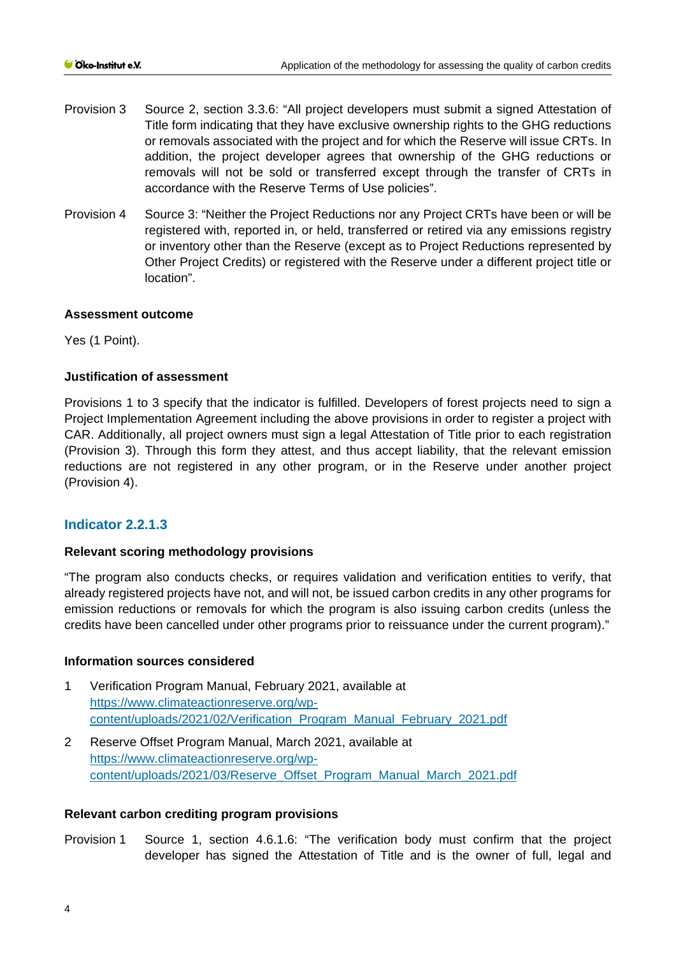- Provision 3 Source 2, section 3.3.6: "All project developers must submit a signed Attestation of Title form indicating that they have exclusive ownership rights to the GHG reductions or removals associated with the project and for which the Reserve will issue CRTs. In addition, the project developer agrees that ownership of the GHG reductions or removals will not be sold or transferred except through the transfer of CRTs in accordance with the Reserve Terms of Use policies".
- Provision 4 Source 3: "Neither the Project Reductions nor any Project CRTs have been or will be registered with, reported in, or held, transferred or retired via any emissions registry or inventory other than the Reserve (except as to Project Reductions represented by Other Project Credits) or registered with the Reserve under a different project title or location".

# **Assessment outcome**

Yes (1 Point).

# **Justification of assessment**

Provisions 1 to 3 specify that the indicator is fulfilled. Developers of forest projects need to sign a Project Implementation Agreement including the above provisions in order to register a project with CAR. Additionally, all project owners must sign a legal Attestation of Title prior to each registration (Provision 3). Through this form they attest, and thus accept liability, that the relevant emission reductions are not registered in any other program, or in the Reserve under another project (Provision 4).

# **Indicator 2.2.1.3**

#### **Relevant scoring methodology provisions**

"The program also conducts checks, or requires validation and verification entities to verify, that already registered projects have not, and will not, be issued carbon credits in any other programs for emission reductions or removals for which the program is also issuing carbon credits (unless the credits have been cancelled under other programs prior to reissuance under the current program)."

#### **Information sources considered**

- 1 Verification Program Manual, February 2021, available at [https://www.climateactionreserve.org/wp](https://www.climateactionreserve.org/wp-content/uploads/2021/02/Verification_Program_Manual_February_2021.pdf)[content/uploads/2021/02/Verification\\_Program\\_Manual\\_February\\_2021.pdf](https://www.climateactionreserve.org/wp-content/uploads/2021/02/Verification_Program_Manual_February_2021.pdf)
- 2 Reserve Offset Program Manual, March 2021, available at [https://www.climateactionreserve.org/wp](https://www.climateactionreserve.org/wp-content/uploads/2021/03/Reserve_Offset_Program_Manual_March_2021.pdf)[content/uploads/2021/03/Reserve\\_Offset\\_Program\\_Manual\\_March\\_2021.pdf](https://www.climateactionreserve.org/wp-content/uploads/2021/03/Reserve_Offset_Program_Manual_March_2021.pdf)

#### **Relevant carbon crediting program provisions**

Provision 1 Source 1, section 4.6.1.6: "The verification body must confirm that the project developer has signed the Attestation of Title and is the owner of full, legal and